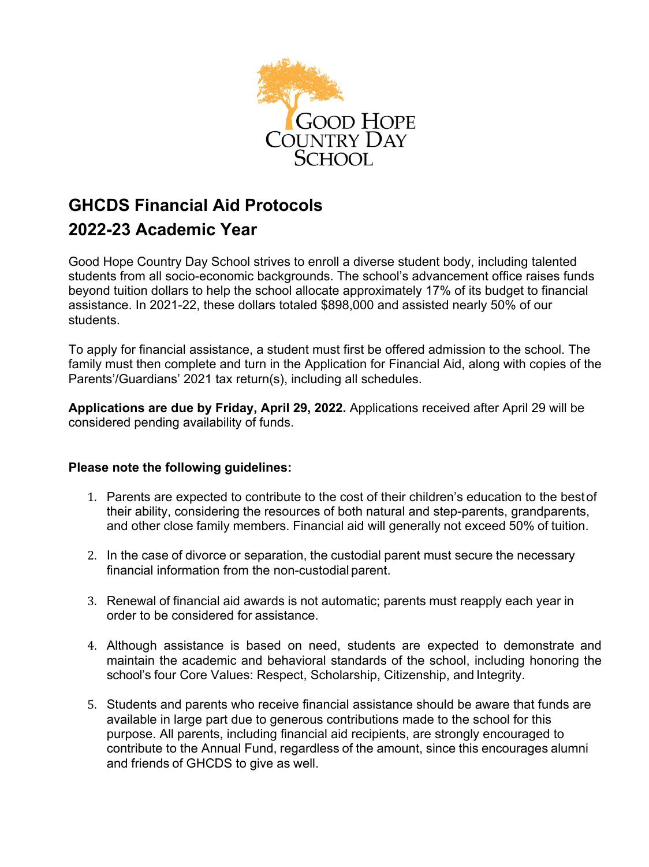

# **GHCDS Financial Aid Protocols 2022-23 Academic Year**

Good Hope Country Day School strives to enroll a diverse student body, including talented students from all socio-economic backgrounds. The school's advancement office raises funds beyond tuition dollars to help the school allocate approximately 17% of its budget to financial assistance. In 2021-22, these dollars totaled \$898,000 and assisted nearly 50% of our students.

To apply for financial assistance, a student must first be offered admission to the school. The family must then complete and turn in the Application for Financial Aid, along with copies of the Parents'/Guardians' 2021 tax return(s), including all schedules.

**Applications are due by Friday, April 29, 2022.** Applications received after April 29 will be considered pending availability of funds.

## **Please note the following guidelines:**

- 1. Parents are expected to contribute to the cost of their children's education to the bestof their ability, considering the resources of both natural and step-parents, grandparents, and other close family members. Financial aid will generally not exceed 50% of tuition.
- 2. In the case of divorce or separation, the custodial parent must secure the necessary financial information from the non-custodial parent.
- 3. Renewal of financial aid awards is not automatic; parents must reapply each year in order to be considered for assistance.
- 4. Although assistance is based on need, students are expected to demonstrate and maintain the academic and behavioral standards of the school, including honoring the school's four Core Values: Respect, Scholarship, Citizenship, and Integrity.
- 5. Students and parents who receive financial assistance should be aware that funds are available in large part due to generous contributions made to the school for this purpose. All parents, including financial aid recipients, are strongly encouraged to contribute to the Annual Fund, regardless of the amount, since this encourages alumni and friends of GHCDS to give as well.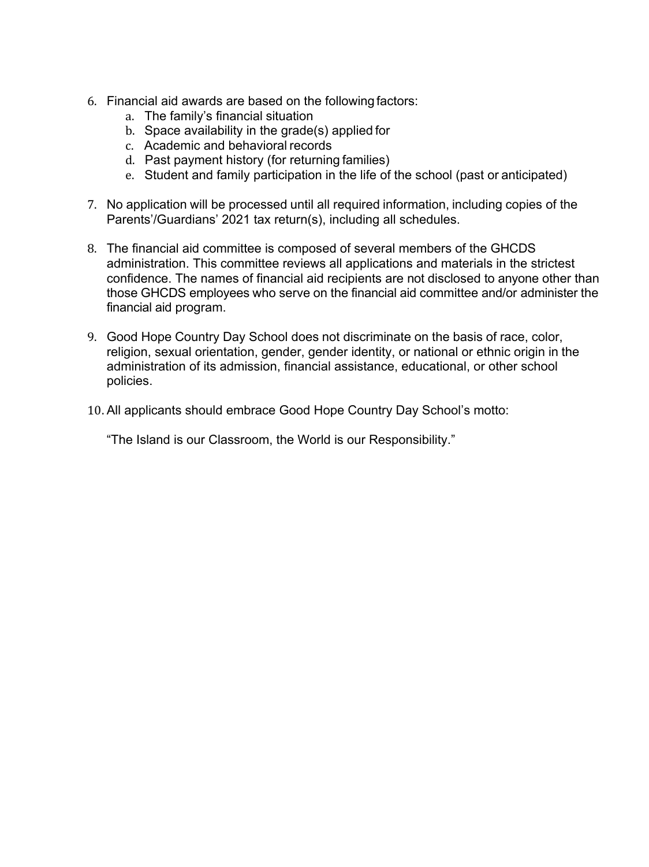- 6. Financial aid awards are based on the following factors:
	- a. The family's financial situation
	- b. Space availability in the grade(s) applied for
	- c. Academic and behavioral records
	- d. Past payment history (for returning families)
	- e. Student and family participation in the life of the school (past or anticipated)
- 7. No application will be processed until all required information, including copies of the Parents'/Guardians' 2021 tax return(s), including all schedules.
- 8. The financial aid committee is composed of several members of the GHCDS administration. This committee reviews all applications and materials in the strictest confidence. The names of financial aid recipients are not disclosed to anyone other than those GHCDS employees who serve on the financial aid committee and/or administer the financial aid program.
- 9. Good Hope Country Day School does not discriminate on the basis of race, color, religion, sexual orientation, gender, gender identity, or national or ethnic origin in the administration of its admission, financial assistance, educational, or other school policies.
- 10. All applicants should embrace Good Hope Country Day School's motto:

"The Island is our Classroom, the World is our Responsibility."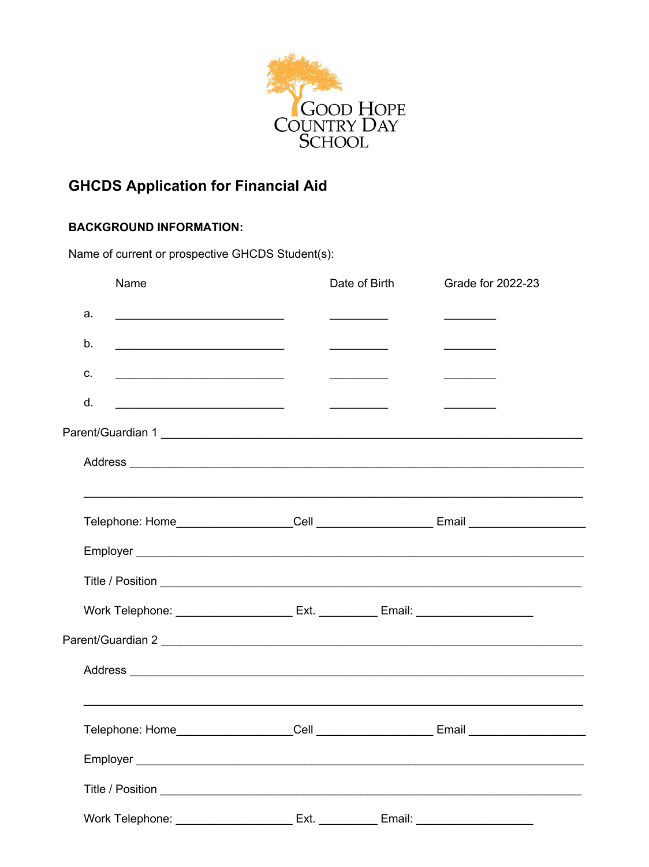

## **GHCDS Application for Financial Aid**

## **BACKGROUND INFORMATION:**

Name of current or prospective GHCDS Student(s):

|    | Name                                                                                                | Date of Birth                                                       | Grade for 2022-23                                                                                                                                                                                                                    |
|----|-----------------------------------------------------------------------------------------------------|---------------------------------------------------------------------|--------------------------------------------------------------------------------------------------------------------------------------------------------------------------------------------------------------------------------------|
| a. | <u> 1989 - Johann Barbara, martin amerikan basar da</u>                                             |                                                                     | $\overline{\phantom{a}}$ . The contract of $\overline{\phantom{a}}$                                                                                                                                                                  |
| b. |                                                                                                     | $\overline{\phantom{a}}$ . The contract of $\overline{\phantom{a}}$ |                                                                                                                                                                                                                                      |
| c. | <u> 1989 - Johann Barnett, fransk politiker (d. 1989)</u>                                           | $\overline{\phantom{a}}$                                            | <u> Albanya di Bandari Bandari Bandari Bandari Bandari Bandari Bandari Bandari Bandari Bandari Bandari Bandari Bandari Bandari Bandari Bandari Bandari Bandari Bandari Bandari Bandari Bandari Bandari Bandari Bandari Bandari B</u> |
| d. |                                                                                                     |                                                                     | and the control of the control of                                                                                                                                                                                                    |
|    |                                                                                                     |                                                                     |                                                                                                                                                                                                                                      |
|    |                                                                                                     |                                                                     |                                                                                                                                                                                                                                      |
|    | <u> 1989 - Johann Stoff, amerikansk politiker (* 1908)</u>                                          |                                                                     |                                                                                                                                                                                                                                      |
|    |                                                                                                     |                                                                     |                                                                                                                                                                                                                                      |
|    |                                                                                                     |                                                                     |                                                                                                                                                                                                                                      |
|    |                                                                                                     |                                                                     |                                                                                                                                                                                                                                      |
|    |                                                                                                     |                                                                     |                                                                                                                                                                                                                                      |
|    |                                                                                                     |                                                                     |                                                                                                                                                                                                                                      |
|    |                                                                                                     |                                                                     |                                                                                                                                                                                                                                      |
|    |                                                                                                     |                                                                     |                                                                                                                                                                                                                                      |
|    |                                                                                                     |                                                                     |                                                                                                                                                                                                                                      |
|    |                                                                                                     |                                                                     |                                                                                                                                                                                                                                      |
|    |                                                                                                     |                                                                     |                                                                                                                                                                                                                                      |
|    | Work Telephone: ______________________________Ext. _____________Email: ____________________________ |                                                                     |                                                                                                                                                                                                                                      |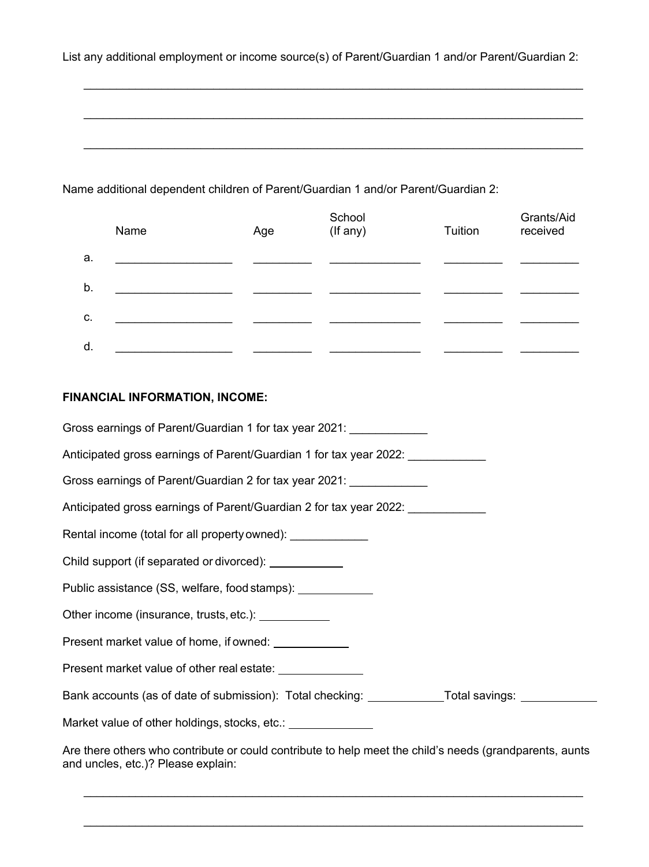List any additional employment or income source(s) of Parent/Guardian 1 and/or Parent/Guardian 2:

 $\_$ 

\_\_\_\_\_\_\_\_\_\_\_\_\_\_\_\_\_\_\_\_\_\_\_\_\_\_\_\_\_\_\_\_\_\_\_\_\_\_\_\_\_\_\_\_\_\_\_\_\_\_\_\_\_\_\_\_\_\_\_\_\_\_\_\_\_\_\_\_\_\_\_\_\_\_\_\_\_

 $\_$ 

Name additional dependent children of Parent/Guardian 1 and/or Parent/Guardian 2:

|    | Name | Age | School<br>(If any) | Tuition | Grants/Aid<br>received |
|----|------|-----|--------------------|---------|------------------------|
| a. |      |     |                    |         |                        |
| b. |      |     |                    |         |                        |
| c. |      |     |                    |         |                        |
| d. |      |     |                    |         |                        |

### **FINANCIAL INFORMATION, INCOME:**

Gross earnings of Parent/Guardian 1 for tax year 2021: Anticipated gross earnings of Parent/Guardian 1 for tax year 2022: Gross earnings of Parent/Guardian 2 for tax year 2021: Anticipated gross earnings of Parent/Guardian 2 for tax year 2022: Rental income (total for all property owned): Child support (if separated or divorced): Public assistance (SS, welfare, food stamps): Other income (insurance, trusts, etc.): <u>consument</u> Present market value of home, if owned: Present market value of other real estate: www.community-Bank accounts (as of date of submission): Total checking: Total savings: Total savings: Market value of other holdings, stocks, etc.: \_\_\_\_\_\_\_\_\_\_\_\_\_\_\_\_\_\_\_\_\_\_\_\_\_\_\_\_\_\_\_\_\_\_ Are there others who contribute or could contribute to help meet the child's needs (grandparents, aunts

 $\_$ 

 $\_$ 

and uncles, etc.)? Please explain: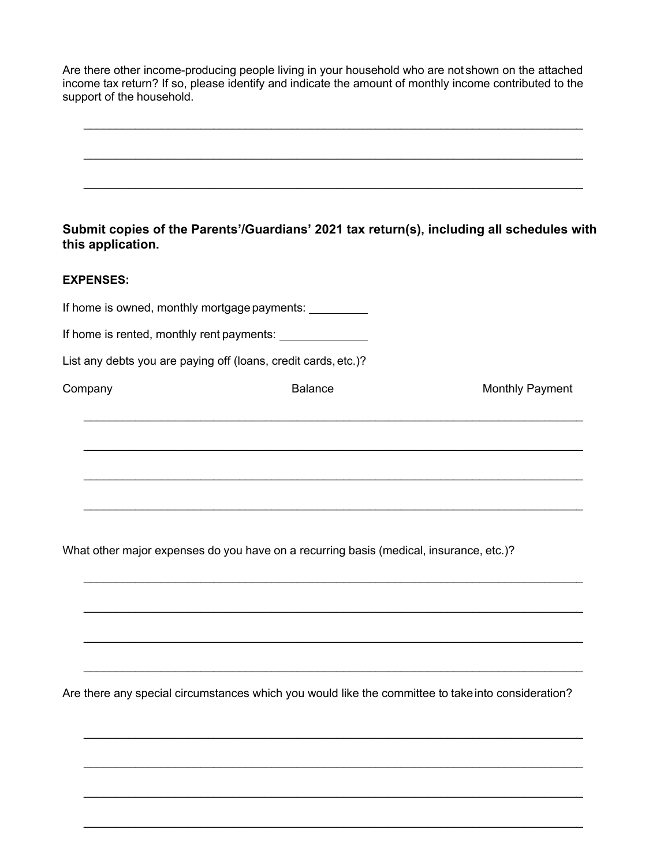Are there other income-producing people living in your household who are not shown on the attached income tax return? If so, please identify and indicate the amount of monthly income contributed to the support of the household.

|  |  |  |  |  | $\mathbf{r}$ , and $\mathbf{r}$ , and it is a set of the set of the set of the set of the set of the set of the set of the set of the set of the set of the set of the set of the set of the set of the set of the set of the set of |  |  |
|--|--|--|--|--|--------------------------------------------------------------------------------------------------------------------------------------------------------------------------------------------------------------------------------------|--|--|

**Submit copies of the Parents'/Guardians' 2021 tax return(s), including all schedules with this application.**

#### **EXPENSES:**

If home is owned, monthly mortgage payments:

If home is rented, monthly rent payments:

List any debts you are paying off (loans, credit cards,etc.)?

 $\_$ 

 $\_$ 

 $\_$ 

 $\_$ 

 $\_$ 

 $\_$ 

 $\_$ 

 $\_$ 

 $\_$ 

Company Company Company Company Company Balance **Monthly Payment** 

What other major expenses do you have on a recurring basis (medical, insurance, etc.)?

Are there any special circumstances which you would like the committee to take into consideration?